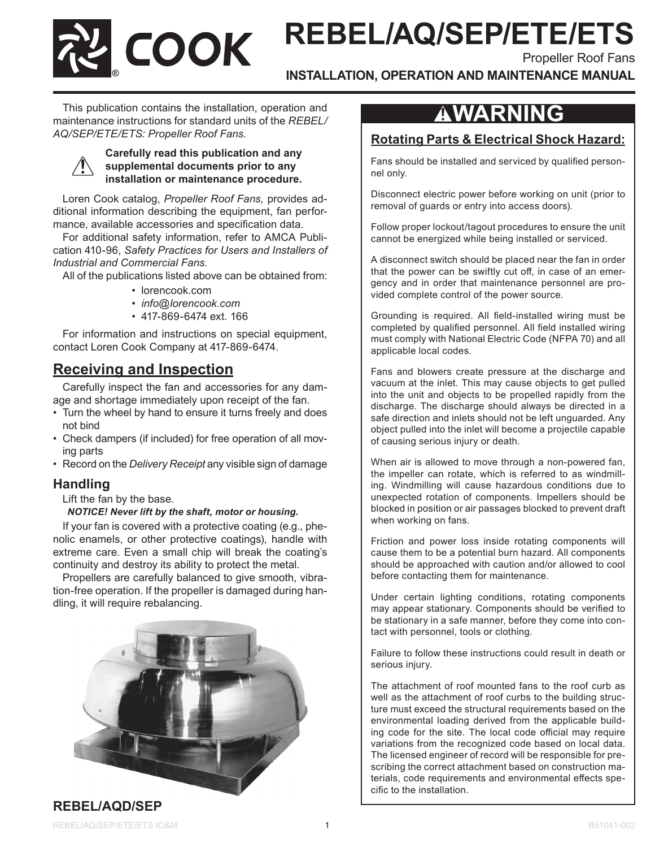**REBEL/AQ/SEP/ETE/ETS**

Propeller Roof Fans

**INSTALLATION, OPERATION AND MAINTENANCE MANUAL**

This publication contains the installation, operation and maintenance instructions for standard units of the *REBEL/ AQ/SEP/ETE/ETS: Propeller Roof Fans.*

**®**

#### **Carefully read this publication and any supplemental documents prior to any installation or maintenance procedure.**

Loren Cook catalog, *Propeller Roof Fans,* provides additional information describing the equipment, fan performance, available accessories and specification data.

For additional safety information, refer to AMCA Publication 410-96, *Safety Practices for Users and Installers of Industrial and Commercial Fans*.

All of the publications listed above can be obtained from:

- lorencook.com
- *• info@lorencook.com*
- 417-869-6474 ext. 166

For information and instructions on special equipment, contact Loren Cook Company at 417-869-6474.

## **Receiving and Inspection**

Carefully inspect the fan and accessories for any damage and shortage immediately upon receipt of the fan.

- Turn the wheel by hand to ensure it turns freely and does not bind
- Check dampers (if included) for free operation of all moving parts
- Record on the *Delivery Receipt* any visible sign of damage

## **Handling**

Lift the fan by the base.

#### *NOTICE! Never lift by the shaft, motor or housing.*

If your fan is covered with a protective coating (e.g., phenolic enamels, or other protective coatings), handle with extreme care. Even a small chip will break the coating's continuity and destroy its ability to protect the metal.

Propellers are carefully balanced to give smooth, vibration-free operation. If the propeller is damaged during handling, it will require rebalancing.



# AWARNING

## **Rotating Parts & Electrical Shock Hazard:**

Fans should be installed and serviced by qualified personnel only.

Disconnect electric power before working on unit (prior to removal of guards or entry into access doors).

Follow proper lockout/tagout procedures to ensure the unit cannot be energized while being installed or serviced.

A disconnect switch should be placed near the fan in order that the power can be swiftly cut off, in case of an emergency and in order that maintenance personnel are provided complete control of the power source.

Grounding is required. All field-installed wiring must be completed by qualified personnel. All field installed wiring must comply with National Electric Code (NFPA 70) and all applicable local codes.

Fans and blowers create pressure at the discharge and vacuum at the inlet. This may cause objects to get pulled into the unit and objects to be propelled rapidly from the discharge. The discharge should always be directed in a safe direction and inlets should not be left unguarded. Any object pulled into the inlet will become a projectile capable of causing serious injury or death.

When air is allowed to move through a non-powered fan, the impeller can rotate, which is referred to as windmilling. Windmilling will cause hazardous conditions due to unexpected rotation of components. Impellers should be blocked in position or air passages blocked to prevent draft when working on fans.

Friction and power loss inside rotating components will cause them to be a potential burn hazard. All components should be approached with caution and/or allowed to cool before contacting them for maintenance.

Under certain lighting conditions, rotating components may appear stationary. Components should be verified to be stationary in a safe manner, before they come into contact with personnel, tools or clothing.

Failure to follow these instructions could result in death or serious injury.

The attachment of roof mounted fans to the roof curb as well as the attachment of roof curbs to the building structure must exceed the structural requirements based on the environmental loading derived from the applicable building code for the site. The local code official may require variations from the recognized code based on local data. The licensed engineer of record will be responsible for prescribing the correct attachment based on construction materials, code requirements and environmental effects specific to the installation.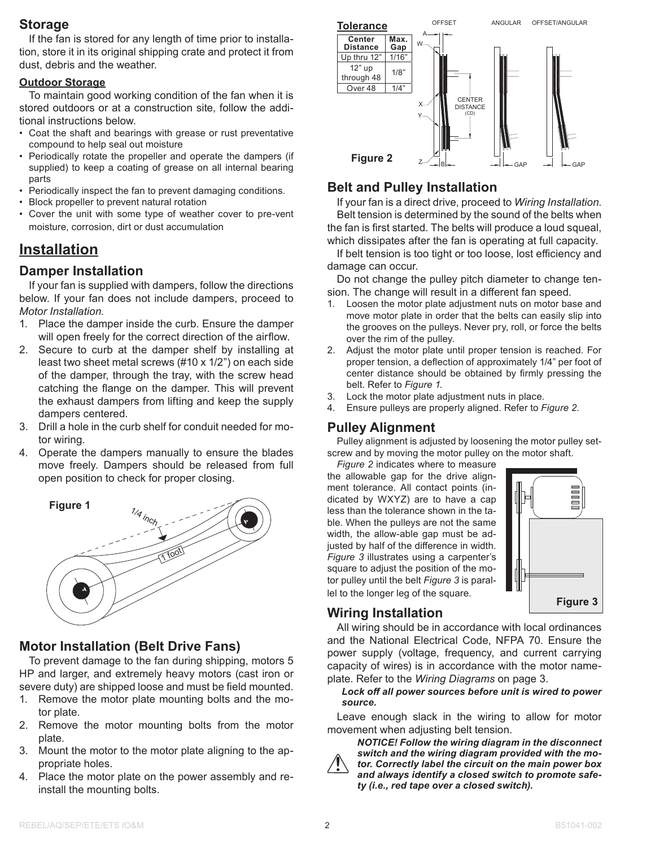## **Storage**

If the fan is stored for any length of time prior to installation, store it in its original shipping crate and protect it from dust, debris and the weather.

#### **Outdoor Storage**

To maintain good working condition of the fan when it is stored outdoors or at a construction site, follow the additional instructions below.

- Coat the shaft and bearings with grease or rust preventative compound to help seal out moisture
- Periodically rotate the propeller and operate the dampers (if supplied) to keep a coating of grease on all internal bearing parts
- Periodically inspect the fan to prevent damaging conditions.
- Block propeller to prevent natural rotation
- Cover the unit with some type of weather cover to pre-vent moisture, corrosion, dirt or dust accumulation

## **Installation**

### **Damper Installation**

If your fan is supplied with dampers, follow the directions below. If your fan does not include dampers, proceed to *Motor Installation*.

- 1. Place the damper inside the curb. Ensure the damper will open freely for the correct direction of the airflow.
- 2. Secure to curb at the damper shelf by installing at least two sheet metal screws (#10 x 1/2") on each side of the damper, through the tray, with the screw head catching the flange on the damper. This will prevent the exhaust dampers from lifting and keep the supply dampers centered.
- 3. Drill a hole in the curb shelf for conduit needed for motor wiring.
- 4. Operate the dampers manually to ensure the blades move freely. Dampers should be released from full open position to check for proper closing.



## **Motor Installation (Belt Drive Fans)**

To prevent damage to the fan during shipping, motors 5 HP and larger, and extremely heavy motors (cast iron or severe duty) are shipped loose and must be field mounted.

- 1. Remove the motor plate mounting bolts and the motor plate.
- 2. Remove the motor mounting bolts from the motor plate.
- 3. Mount the motor to the motor plate aligning to the appropriate holes.
- 4. Place the motor plate on the power assembly and reinstall the mounting bolts.



## **Belt and Pulley Installation**

If your fan is a direct drive, proceed to *Wiring Installation*. Belt tension is determined by the sound of the belts when the fan is first started. The belts will produce a loud squeal, which dissipates after the fan is operating at full capacity.

If belt tension is too tight or too loose, lost efficiency and damage can occur.

Do not change the pulley pitch diameter to change tension. The change will result in a different fan speed.

- 1. Loosen the motor plate adjustment nuts on motor base and move motor plate in order that the belts can easily slip into the grooves on the pulleys. Never pry, roll, or force the belts over the rim of the pulley.
- 2. Adjust the motor plate until proper tension is reached. For proper tension, a deflection of approximately 1/4" per foot of center distance should be obtained by firmly pressing the belt. Refer to *Figure 1*.
- 3. Lock the motor plate adjustment nuts in place.
- 4. Ensure pulleys are properly aligned. Refer to *Figure 2*.

### **Pulley Alignment**

Pulley alignment is adjusted by loosening the motor pulley setscrew and by moving the motor pulley on the motor shaft.

*Figure 2* indicates where to measure the allowable gap for the drive alignment tolerance. All contact points (indicated by WXYZ) are to have a cap less than the tolerance shown in the table. When the pulleys are not the same width, the allow-able gap must be adjusted by half of the difference in width. *Figure 3* illustrates using a carpenter's square to adjust the position of the motor pulley until the belt *Figure 3* is parallel to the longer leg of the square.



## **Wiring Installation**

All wiring should be in accordance with local ordinances and the National Electrical Code, NFPA 70. Ensure the power supply (voltage, frequency, and current carrying capacity of wires) is in accordance with the motor nameplate. Refer to the *Wiring Diagrams* on page 3.

*Lock off all power sources before unit is wired to power source.*

Leave enough slack in the wiring to allow for motor movement when adjusting belt tension.



*NOTICE! Follow the wiring diagram in the disconnect switch and the wiring diagram provided with the motor. Correctly label the circuit on the main power box and always identify a closed switch to promote safety (i.e., red tape over a closed switch).*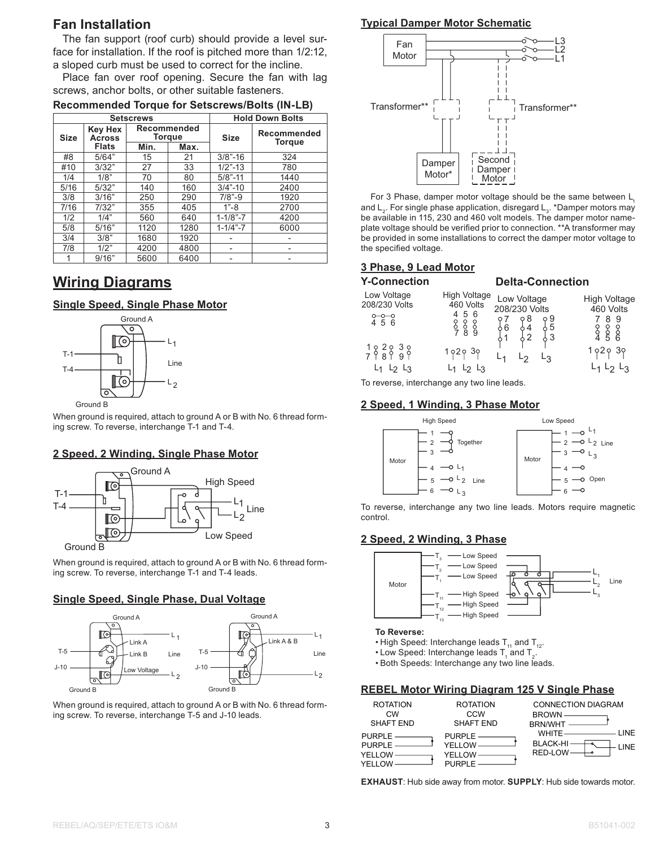### **Fan Installation**

The fan support (roof curb) should provide a level surface for installation. If the roof is pitched more than 1/2:12, a sloped curb must be used to correct for the incline.

Place fan over roof opening. Secure the fan with lag screws, anchor bolts, or other suitable fasteners.

| <b>Setscrews</b> |                                 |                       |      | <b>Hold Down Bolts</b> |               |  |
|------------------|---------------------------------|-----------------------|------|------------------------|---------------|--|
| <b>Size</b>      | <b>Key Hex</b><br><b>Across</b> | Recommended<br>Torque |      | <b>Size</b>            | Recommended   |  |
|                  | <b>Flats</b>                    | Min.                  | Max. |                        | <b>Torque</b> |  |
| #8               | 5/64"                           | 15                    | 21   | $3/8$ "-16             | 324           |  |
| #10              | 3/32"                           | 27                    | 33   | $1/2$ "-13             | 780           |  |
| 1/4              | 1/8"                            | 70                    | 80   | $5/8 - 11$             | 1440          |  |
| 5/16             | 5/32"                           | 140                   | 160  | $3/4$ "-10             | 2400          |  |
| 3/8              | 3/16"                           | 250                   | 290  | $7/8 - 9$              | 1920          |  |
| 7/16             | 7/32"                           | 355                   | 405  | $1 - 8$                | 2700          |  |
| 1/2              | 1/4"                            | 560                   | 640  | $1 - 1/8 - 7$          | 4200          |  |
| 5/8              | 5/16"                           | 1120                  | 1280 | $1 - 1/4 - 7$          | 6000          |  |
| 3/4              | 3/8"                            | 1680                  | 1920 |                        |               |  |
| 7/8              | 1/2"                            | 4200                  | 4800 |                        |               |  |
| 1                | 9/16"                           | 5600                  | 6400 |                        |               |  |

#### **Recommended Torque for Setscrews/Bolts (IN-LB)**

## **Wiring Diagrams**

#### **Single Speed, Single Phase Motor**



When ground is required, attach to ground A or B with No. 6 thread forming screw. To reverse, interchange T-1 and T-4.

#### **2 Speed, 2 Winding, Single Phase Motor**



When ground is required, attach to ground A or B with No. 6 thread forming screw. To reverse, interchange T-1 and T-4 leads.

#### **Single Speed, Single Phase, Dual Voltage**



When ground is required, attach to ground A or B with No. 6 thread forming screw. To reverse, interchange T-5 and J-10 leads.

#### **Typical Damper Motor Schematic**



For 3 Phase, damper motor voltage should be the same between L and L<sub>2</sub>. For single phase application, disregard L<sub>3</sub>. \*Damper motors may be available in 115, 230 and 460 volt models. The damper motor nameplate voltage should be verified prior to connection. \*\*A transformer may be provided in some installations to correct the damper motor voltage to the specified voltage.

#### **3 Phase, 9 Lead Motor 3 Phase, 9 Lead Motor**

| <b>Y-Connection</b>          |                                                                      | <b>Delta-Connection</b>      |                                  |
|------------------------------|----------------------------------------------------------------------|------------------------------|----------------------------------|
| Low Voltage<br>208/230 Volts | <b>High Voltage</b><br>460 Volts                                     | Low Voltage<br>208/230 Volts | <b>High Voltage</b><br>460 Volts |
| $0 - 0 - 0$<br>4 5 6         | 56<br>$\begin{smallmatrix} 8 & 8 & 8 \\ 7 & 8 & 9 \end{smallmatrix}$ | 98<br>၀ g<br>၁ 5             | -9<br>8<br>8 8 8<br>4 5 6        |
| $182838$<br>7 $899$<br>L२    | 1929 39<br>$L_2$ $L_3$                                               | L२                           | 102030                           |

To reverse, interchange any two line leads.

#### **2 Speed, 1 Winding, 3 Phase Motor**



To reverse, interchange any two line leads. Motors require magnetic control.

#### **2 Speed, 2 Winding, 3 Phase**



**To Reverse:**

- High Speed: Interchange leads  $T_{11}$  and  $T_{12}$ .
- $\bullet$  Low Speed: Interchange leads  ${\sf T}_{\sf q}$  and  ${\sf T}_{\sf 2}$ .
- Both Speeds: Interchange any two line leads.

#### **REBEL Motor Wiring Diagram 125 V Single Phase**

| <b>ROTATION</b>  | <b>ROTATION</b> | <b>CONNECTION DIAGRAM</b> |
|------------------|-----------------|---------------------------|
| CW               | CCW             | BROWN —————               |
| <b>SHAFT END</b> | SHAFT END       | BRN/WHT -                 |
| PURPLE -         | $PURE -$        | <b>I INF</b>              |
| $PURE -$         | YELLOW-         | <b>BLACK-HI</b><br>INF    |
| YELLOW-          | YELLOW          | RED-LOW                   |
| YFI I OW         | $PIIRPIF$ $-$   |                           |

**EXHAUST**: Hub side away from motor. **SUPPLY**: Hub side towards motor.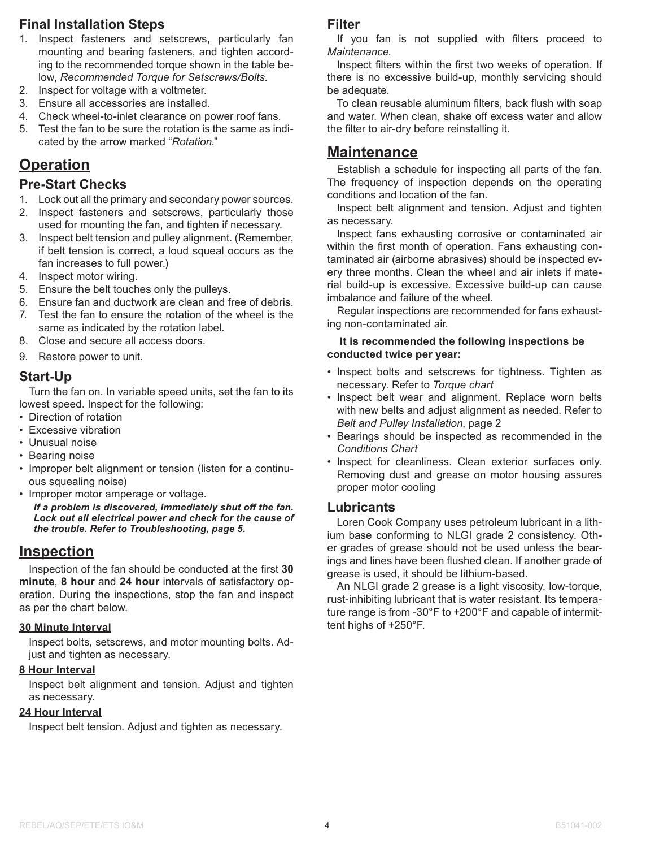## **Final Installation Steps**

- 1. Inspect fasteners and setscrews, particularly fan mounting and bearing fasteners, and tighten according to the recommended torque shown in the table below, *Recommended Torque for Setscrews/Bolts*.
- 2. Inspect for voltage with a voltmeter.
- 3. Ensure all accessories are installed.
- 4. Check wheel-to-inlet clearance on power roof fans.
- 5. Test the fan to be sure the rotation is the same as indicated by the arrow marked "*Rotation*."

## **Operation**

#### **Pre-Start Checks**

- 1. Lock out all the primary and secondary power sources.
- 2. Inspect fasteners and setscrews, particularly those used for mounting the fan, and tighten if necessary.
- 3. Inspect belt tension and pulley alignment. (Remember, if belt tension is correct, a loud squeal occurs as the fan increases to full power.)
- 4. Inspect motor wiring.
- 5. Ensure the belt touches only the pulleys.
- 6. Ensure fan and ductwork are clean and free of debris.
- 7. Test the fan to ensure the rotation of the wheel is the same as indicated by the rotation label.
- 8. Close and secure all access doors.
- 9. Restore power to unit.

#### **Start-Up**

Turn the fan on. In variable speed units, set the fan to its lowest speed. Inspect for the following:

- Direction of rotation
- Excessive vibration
- Unusual noise
- Bearing noise
- Improper belt alignment or tension (listen for a continuous squealing noise)
- Improper motor amperage or voltage.

*If a problem is discovered, immediately shut off the fan. Lock out all electrical power and check for the cause of the trouble. Refer to Troubleshooting, page 5.*

## **Inspection**

Inspection of the fan should be conducted at the first **30 minute**, **8 hour** and **24 hour** intervals of satisfactory operation. During the inspections, stop the fan and inspect as per the chart below.

#### **30 Minute Interval**

Inspect bolts, setscrews, and motor mounting bolts. Adjust and tighten as necessary.

#### **8 Hour Interval**

Inspect belt alignment and tension. Adjust and tighten as necessary.

#### **24 Hour Interval**

Inspect belt tension. Adjust and tighten as necessary.

#### **Filter**

If you fan is not supplied with filters proceed to *Maintenance*.

Inspect filters within the first two weeks of operation. If there is no excessive build-up, monthly servicing should be adequate.

To clean reusable aluminum filters, back flush with soap and water. When clean, shake off excess water and allow the filter to air-dry before reinstalling it.

## **Maintenance**

Establish a schedule for inspecting all parts of the fan. The frequency of inspection depends on the operating conditions and location of the fan.

Inspect belt alignment and tension. Adjust and tighten as necessary.

Inspect fans exhausting corrosive or contaminated air within the first month of operation. Fans exhausting contaminated air (airborne abrasives) should be inspected every three months. Clean the wheel and air inlets if material build-up is excessive. Excessive build-up can cause imbalance and failure of the wheel.

Regular inspections are recommended for fans exhausting non-contaminated air.

#### **It is recommended the following inspections be conducted twice per year:**

- Inspect bolts and setscrews for tightness. Tighten as necessary. Refer to *Torque chart*
- Inspect belt wear and alignment. Replace worn belts with new belts and adjust alignment as needed. Refer to *Belt and Pulley Installation*, page 2
- Bearings should be inspected as recommended in the *Conditions Chart*
- Inspect for cleanliness. Clean exterior surfaces only. Removing dust and grease on motor housing assures proper motor cooling

#### **Lubricants**

Loren Cook Company uses petroleum lubricant in a lithium base conforming to NLGI grade 2 consistency. Other grades of grease should not be used unless the bearings and lines have been flushed clean. If another grade of grease is used, it should be lithium-based.

An NLGI grade 2 grease is a light viscosity, low-torque, rust-inhibiting lubricant that is water resistant. Its temperature range is from -30°F to +200°F and capable of intermittent highs of +250°F.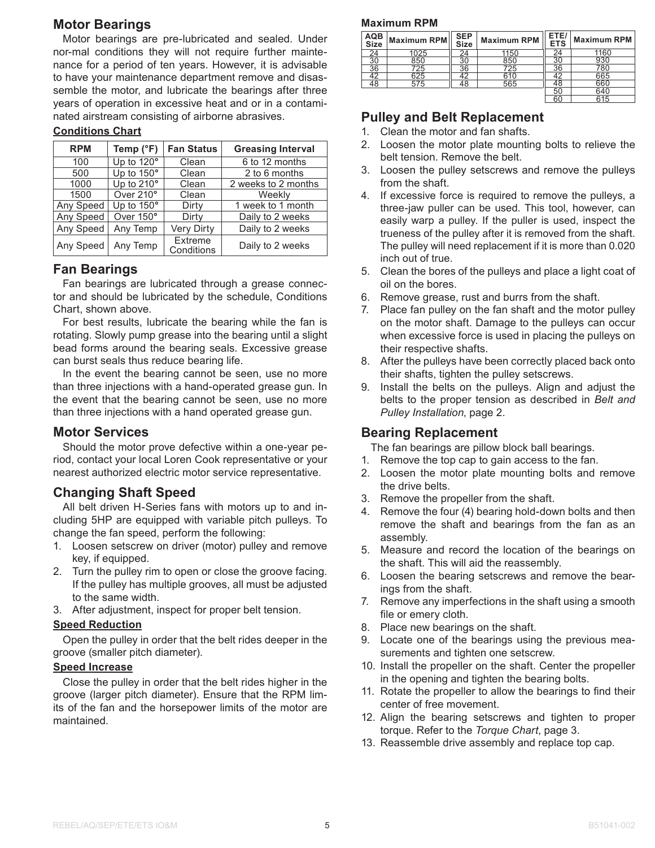## **Motor Bearings**

Motor bearings are pre-lubricated and sealed. Under nor-mal conditions they will not require further maintenance for a period of ten years. However, it is advisable to have your maintenance department remove and disassemble the motor, and lubricate the bearings after three years of operation in excessive heat and or in a contaminated airstream consisting of airborne abrasives.

#### **Conditions Chart**

| <b>RPM</b> | Temp (°F)  | <b>Fan Status</b>     | <b>Greasing Interval</b> |
|------------|------------|-----------------------|--------------------------|
| 100        | Up to 120° | Clean                 | 6 to 12 months           |
| 500        | Up to 150° | Clean                 | 2 to 6 months            |
| 1000       | Up to 210° | Clean                 | 2 weeks to 2 months      |
| 1500       | Over 210°  | Clean                 | Weekly                   |
| Any Speed  | Up to 150° | Dirty                 | 1 week to 1 month        |
| Any Speed  | Over 150°  | Dirty                 | Daily to 2 weeks         |
| Any Speed  | Any Temp   | <b>Very Dirty</b>     | Daily to 2 weeks         |
| Any Speed  | Any Temp   | Extreme<br>Conditions | Daily to 2 weeks         |

## **Fan Bearings**

Fan bearings are lubricated through a grease connector and should be lubricated by the schedule, Conditions Chart, shown above.

For best results, lubricate the bearing while the fan is rotating. Slowly pump grease into the bearing until a slight bead forms around the bearing seals. Excessive grease can burst seals thus reduce bearing life.

In the event the bearing cannot be seen, use no more than three injections with a hand-operated grease gun. In the event that the bearing cannot be seen, use no more than three injections with a hand operated grease gun.

## **Motor Services**

Should the motor prove defective within a one-year period, contact your local Loren Cook representative or your nearest authorized electric motor service representative.

## **Changing Shaft Speed**

All belt driven H-Series fans with motors up to and including 5HP are equipped with variable pitch pulleys. To change the fan speed, perform the following:

- 1. Loosen setscrew on driver (motor) pulley and remove key, if equipped.
- 2. Turn the pulley rim to open or close the groove facing. If the pulley has multiple grooves, all must be adjusted to the same width.
- 3. After adjustment, inspect for proper belt tension.

#### **Speed Reduction**

Open the pulley in order that the belt rides deeper in the groove (smaller pitch diameter).

#### **Speed Increase**

Close the pulley in order that the belt rides higher in the groove (larger pitch diameter). Ensure that the RPM limits of the fan and the horsepower limits of the motor are maintained.

#### **Maximum RPM**

| AQB<br>Size | Maximum RPM | SEP<br>Size | <b>Maximum RPM</b> | ETE/<br><b>ETS</b> | <b>Maximum RPM</b> |
|-------------|-------------|-------------|--------------------|--------------------|--------------------|
| 24          | 1025        | 24          | 1150               |                    | 1160               |
| 30          | 850         | 30          | 850                | 30                 |                    |
| 36          | 725         | 36          | 725                | 36                 | 780                |
| 42          | 625         | 42          | 610                |                    | 665                |
| 48          | 575         | 48          | 565                | 48                 | 660                |
|             |             |             |                    | 50                 | 640                |
|             |             |             |                    | 60                 | 615                |

## **Pulley and Belt Replacement**

- 1. Clean the motor and fan shafts.
- 2. Loosen the motor plate mounting bolts to relieve the belt tension. Remove the belt.
- 3. Loosen the pulley setscrews and remove the pulleys from the shaft.
- 4. If excessive force is required to remove the pulleys, a three-jaw puller can be used. This tool, however, can easily warp a pulley. If the puller is used, inspect the trueness of the pulley after it is removed from the shaft. The pulley will need replacement if it is more than 0.020 inch out of true.
- 5. Clean the bores of the pulleys and place a light coat of oil on the bores.
- 6. Remove grease, rust and burrs from the shaft.
- 7. Place fan pulley on the fan shaft and the motor pulley on the motor shaft. Damage to the pulleys can occur when excessive force is used in placing the pulleys on their respective shafts.
- 8. After the pulleys have been correctly placed back onto their shafts, tighten the pulley setscrews.
- 9. Install the belts on the pulleys. Align and adjust the belts to the proper tension as described in *Belt and Pulley Installation*, page 2.

## **Bearing Replacement**

The fan bearings are pillow block ball bearings.

- 1. Remove the top cap to gain access to the fan.
- 2. Loosen the motor plate mounting bolts and remove the drive belts.
- 3. Remove the propeller from the shaft.
- 4. Remove the four (4) bearing hold-down bolts and then remove the shaft and bearings from the fan as an assembly.
- 5. Measure and record the location of the bearings on the shaft. This will aid the reassembly.
- 6. Loosen the bearing setscrews and remove the bearings from the shaft.
- 7. Remove any imperfections in the shaft using a smooth file or emery cloth.
- 8. Place new bearings on the shaft.
- 9. Locate one of the bearings using the previous measurements and tighten one setscrew.
- 10. Install the propeller on the shaft. Center the propeller in the opening and tighten the bearing bolts.
- 11. Rotate the propeller to allow the bearings to find their center of free movement.
- 12. Align the bearing setscrews and tighten to proper torque. Refer to the *Torque Chart*, page 3.
- 13. Reassemble drive assembly and replace top cap.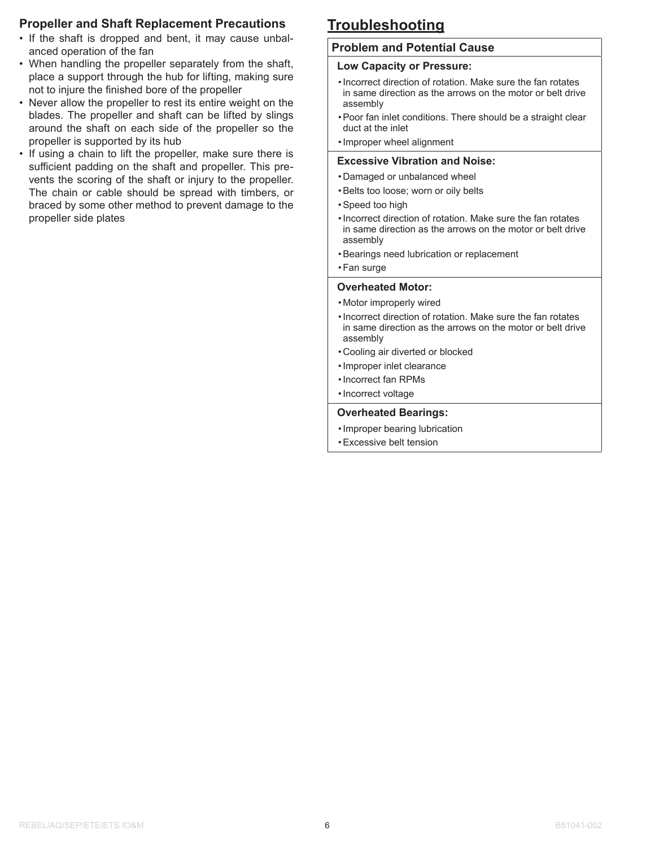### **Propeller and Shaft Replacement Precautions**

- If the shaft is dropped and bent, it may cause unbalanced operation of the fan
- When handling the propeller separately from the shaft, place a support through the hub for lifting, making sure not to injure the finished bore of the propeller
- Never allow the propeller to rest its entire weight on the blades. The propeller and shaft can be lifted by slings around the shaft on each side of the propeller so the propeller is supported by its hub
- If using a chain to lift the propeller, make sure there is sufficient padding on the shaft and propeller. This prevents the scoring of the shaft or injury to the propeller. The chain or cable should be spread with timbers, or braced by some other method to prevent damage to the propeller side plates

## **Troubleshooting**

#### **Problem and Potential Cause**

#### **Low Capacity or Pressure:**

- •Incorrect direction of rotation. Make sure the fan rotates in same direction as the arrows on the motor or belt drive assembly
- •Poor fan inlet conditions. There should be a straight clear duct at the inlet
- •Improper wheel alignment

#### **Excessive Vibration and Noise:**

- Damaged or unbalanced wheel
- •Belts too loose; worn or oily belts
- •Speed too high
- •Incorrect direction of rotation. Make sure the fan rotates in same direction as the arrows on the motor or belt drive assembly
- •Bearings need lubrication or replacement
- •Fan surge

#### **Overheated Motor:**

- Motor improperly wired
- •Incorrect direction of rotation. Make sure the fan rotates in same direction as the arrows on the motor or belt drive assembly
- Cooling air diverted or blocked
- •Improper inlet clearance
- •Incorrect fan RPMs
- •Incorrect voltage

#### **Overheated Bearings:**

- •Improper bearing lubrication
- •Excessive belt tension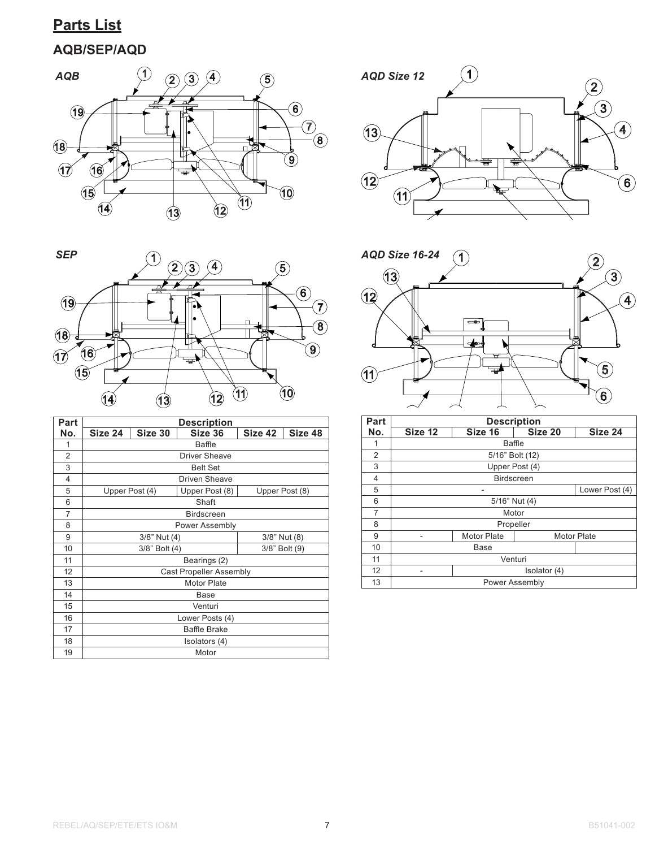## **Parts List**

## **AQB/SEP/AQD**





| Part           | <b>Description</b>             |                     |                      |         |                |  |
|----------------|--------------------------------|---------------------|----------------------|---------|----------------|--|
| No.            | Size 24                        | Size 30             | Size 36              | Size 42 | Size 48        |  |
| 1              |                                |                     | <b>Baffle</b>        |         |                |  |
| $\overline{2}$ |                                |                     | <b>Driver Sheave</b> |         |                |  |
| 3              |                                |                     | <b>Belt Set</b>      |         |                |  |
| 4              |                                |                     | <b>Driven Sheave</b> |         |                |  |
| 5              |                                | Upper Post (4)      | Upper Post (8)       |         | Upper Post (8) |  |
| 6              |                                |                     | Shaft                |         |                |  |
| $\overline{7}$ |                                |                     | <b>Birdscreen</b>    |         |                |  |
| 8              | <b>Power Assembly</b>          |                     |                      |         |                |  |
| 9              | 3/8" Nut (4)<br>3/8" Nut (8)   |                     |                      |         |                |  |
| 10             | 3/8" Bolt (4)<br>3/8" Bolt (9) |                     |                      |         |                |  |
| 11             | Bearings (2)                   |                     |                      |         |                |  |
| 12             | <b>Cast Propeller Assembly</b> |                     |                      |         |                |  |
| 13             | <b>Motor Plate</b>             |                     |                      |         |                |  |
| 14             | Base                           |                     |                      |         |                |  |
| 15             | Venturi                        |                     |                      |         |                |  |
| 16             | Lower Posts (4)                |                     |                      |         |                |  |
| 17             |                                | <b>Baffle Brake</b> |                      |         |                |  |
| 18             | Isolators (4)                  |                     |                      |         |                |  |
| 19             | Motor                          |                     |                      |         |                |  |





| Part | <b>Description</b> |                                          |  |  |  |  |
|------|--------------------|------------------------------------------|--|--|--|--|
| No.  | Size 12            | Size 24                                  |  |  |  |  |
| 1    |                    | Baffle                                   |  |  |  |  |
| 2    |                    | 5/16" Bolt (12)                          |  |  |  |  |
| 3    |                    | Upper Post (4)                           |  |  |  |  |
| 4    |                    | <b>Birdscreen</b>                        |  |  |  |  |
| 5    |                    | Lower Post (4)                           |  |  |  |  |
| 6    | 5/16" Nut (4)      |                                          |  |  |  |  |
| 7    | Motor              |                                          |  |  |  |  |
| 8    | Propeller          |                                          |  |  |  |  |
| 9    |                    | <b>Motor Plate</b><br><b>Motor Plate</b> |  |  |  |  |
| 10   | Base               |                                          |  |  |  |  |
| 11   | Venturi            |                                          |  |  |  |  |
| 12   | Isolator (4)       |                                          |  |  |  |  |
| 13   | Power Assembly     |                                          |  |  |  |  |